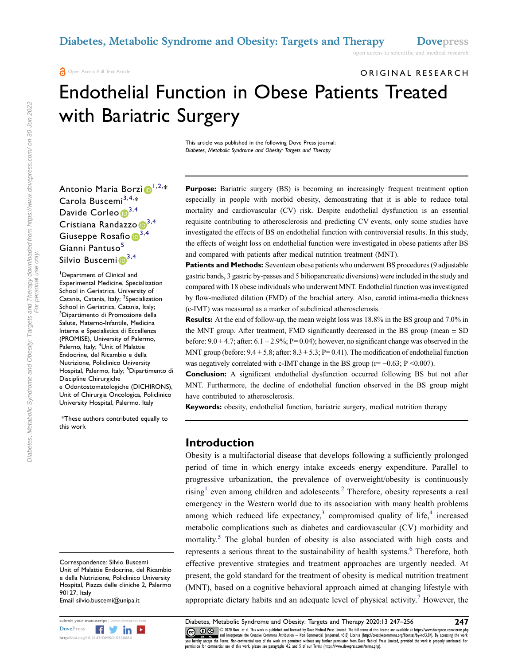open access to scientific and medical research

ORIGINAL RESEARCH

# Endothelial Function in Obese Patients Treated with Bariatric Surgery

This article was published in the following Dove Press journal: Diabetes, Metabolic Syndrome and Obesity: Targets and Therapy

Antonio Maria Borzì $\bm{\mathbb{D}}^{1,2,*}$  $\bm{\mathbb{D}}^{1,2,*}$  $\bm{\mathbb{D}}^{1,2,*}$  $\bm{\mathbb{D}}^{1,2,*}$ Carola Buscemi<sup>[3](#page-0-2),[4](#page-0-3),</sup>\* Davide Corleo <sup>[3,](#page-0-2)[4](#page-0-3)</sup> Cristiana Randazzo D<sup>[3,](#page-0-2)[4](#page-0-3)</sup> Giuseppe Rosafio  $\mathbb{D}^{3,4}$  $\mathbb{D}^{3,4}$  $\mathbb{D}^{3,4}$  $\mathbb{D}^{3,4}$  $\mathbb{D}^{3,4}$ Gianni Pantuso<sup>[5](#page-0-4)</sup> Silvio Buscemi $\mathbb{D}^{3,4}$  $\mathbb{D}^{3,4}$  $\mathbb{D}^{3,4}$  $\mathbb{D}^{3,4}$ 

<span id="page-0-3"></span><span id="page-0-2"></span><span id="page-0-1"></span><span id="page-0-0"></span>Department of Clinical and Experimental Medicine, Specialization School in Geriatrics, University of Catania, Catania, Italy; <sup>2</sup>Specialization School in Geriatrics, Catania, Italy; <sup>3</sup>Dipartimento di Promozione della Salute, Materno-Infantile, Medicina Interna e Specialistica di Eccellenza (PROMISE), University of Palermo, Palerno, Italy; <sup>4</sup>Unit of Malattie Endocrine, del Ricambio e della Nutrizione, Policlinico University Hospital, Palermo, Italy; <sup>5</sup>Dipartimento di Discipline Chirurgiche e Odontostomatologiche (DICHIRONS), Unit of Chirurgia Oncologica, Policlinico University Hospital, Palermo, Italy

<span id="page-0-4"></span>\*These authors contributed equally to this work

Correspondence: Silvio Buscemi Unit of Malattie Endocrine, del Ricambio e della Nutrizione, Policlinico University Hospital, Piazza delle cliniche 2, Palermo 90127, Italy Email silvio.buscemi@unipa.it

<span id="page-0-9"></span>



Purpose: Bariatric surgery (BS) is becoming an increasingly frequent treatment option especially in people with morbid obesity, demonstrating that it is able to reduce total mortality and cardiovascular (CV) risk. Despite endothelial dysfunction is an essential requisite contributing to atherosclerosis and predicting CV events, only some studies have investigated the effects of BS on endothelial function with controversial results. In this study, the effects of weight loss on endothelial function were investigated in obese patients after BS and compared with patients after medical nutrition treatment (MNT).

**Patients and Methods:** Seventeen obese patients who underwent BS procedures (9 adjustable gastric bands, 3 gastric by-passes and 5 biliopancreatic diversions) were included in the study and compared with 18 obese individuals who underwent MNT. Endothelial function was investigated by flow-mediated dilation (FMD) of the brachial artery. Also, carotid intima-media thickness (c-IMT) was measured as a marker of subclinical atherosclerosis.

Results: At the end of follow-up, the mean weight loss was 18.8% in the BS group and 7.0% in the MNT group. After treatment, FMD significantly decreased in the BS group (mean  $\pm$  SD before:  $9.0 \pm 4.7$ ; after:  $6.1 \pm 2.9$ %; P= 0.04); however, no significant change was observed in the MNT group (before:  $9.4 \pm 5.8$ ; after:  $8.3 \pm 5.3$ ; P= 0.41). The modification of endothelial function was negatively correlated with c-IMT change in the BS group ( $r = -0.63$ ; P <0.007).

Conclusion: A significant endothelial dysfunction occurred following BS but not after MNT. Furthermore, the decline of endothelial function observed in the BS group might have contributed to atherosclerosis.

Keywords: obesity, endothelial function, bariatric surgery, medical nutrition therapy

#### Introduction

<span id="page-0-8"></span><span id="page-0-7"></span><span id="page-0-6"></span><span id="page-0-5"></span>Obesity is a multifactorial disease that develops following a sufficiently prolonged period of time in which energy intake exceeds energy expenditure. Parallel to progressive urbanization, the prevalence of overweight/obesity is continuously rising<sup>[1](#page-8-0)</sup> even among children and adolescents.<sup>[2](#page-8-1)</sup> Therefore, obesity represents a real emergency in the Western world due to its association with many health problems among which reduced life expectancy, $3$  compromised quality of life, $4$  increased metabolic complications such as diabetes and cardiovascular (CV) morbidity and mortality.<sup>[5](#page-8-4)</sup> The global burden of obesity is also associated with high costs and represents a serious threat to the sustainability of health systems.<sup>[6](#page-8-5)</sup> Therefore, both effective preventive strategies and treatment approaches are urgently needed. At present, the gold standard for the treatment of obesity is medical nutrition treatment (MNT), based on a cognitive behavioral approach aimed at changing lifestyle with appropriate dietary habits and an adequate level of physical activity.<sup>7</sup> However, the

submit your manuscript | www.dovepress.com Diabetes, Metabolic Syndrome and Obesity: Targets and Therapy 2020:13 247–256 247<br>DovePress **Figure 1999** 2008 8072 it al. This work is published and licensed by Dove Medical Pres DOVERS DE 2000 Bora is all his work is published and licensed by Dove Medical Press Limited. The full terms of this license are available at https://www.dovepress.com/terms.php and inters. Inc. and incorporate the terms in permission for commercial use of this work, please see paragraphs 4.2 and 5 of our Terms (https://www.dovepress.com/terms.php).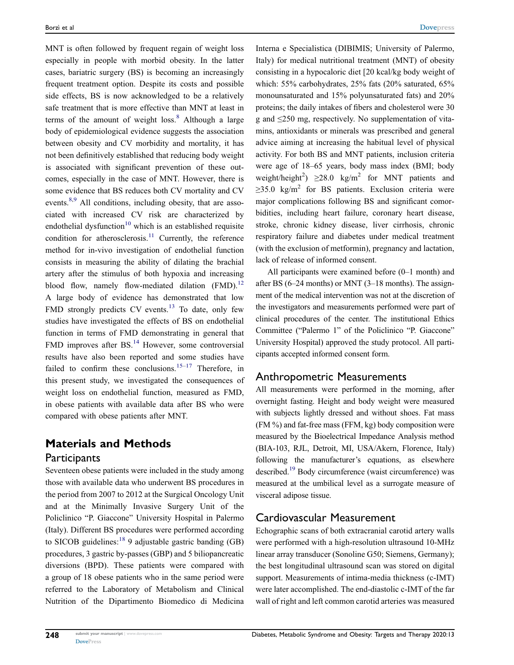<span id="page-1-2"></span><span id="page-1-1"></span><span id="page-1-0"></span>MNT is often followed by frequent regain of weight loss especially in people with morbid obesity. In the latter cases, bariatric surgery (BS) is becoming an increasingly frequent treatment option. Despite its costs and possible side effects, BS is now acknowledged to be a relatively safe treatment that is more effective than MNT at least in terms of the amount of weight  $loss<sup>8</sup>$  $loss<sup>8</sup>$  $loss<sup>8</sup>$  Although a large body of epidemiological evidence suggests the association between obesity and CV morbidity and mortality, it has not been definitively established that reducing body weight is associated with significant prevention of these outcomes, especially in the case of MNT. However, there is some evidence that BS reduces both CV mortality and CV events.<sup>8,[9](#page-8-8)</sup> All conditions, including obesity, that are associated with increased CV risk are characterized by endothelial dysfunction<sup>[10](#page-8-9)</sup> which is an established requisite condition for atherosclerosis.<sup>[11](#page-8-10)</sup> Currently, the reference method for in-vivo investigation of endothelial function consists in measuring the ability of dilating the brachial artery after the stimulus of both hypoxia and increasing blood flow, namely flow-mediated dilation  $(FMD)$ .<sup>[12](#page-8-11)</sup> A large body of evidence has demonstrated that low FMD strongly predicts  $CV$  events.<sup>[13](#page-8-12)</sup> To date, only few studies have investigated the effects of BS on endothelial function in terms of FMD demonstrating in general that FMD improves after BS.<sup>[14](#page-8-13)</sup> However, some controversial results have also been reported and some studies have failed to confirm these conclusions.<sup>[15](#page-8-14)–[17](#page-8-15)</sup> Therefore, in this present study, we investigated the consequences of weight loss on endothelial function, measured as FMD, in obese patients with available data after BS who were compared with obese patients after MNT.

## <span id="page-1-6"></span><span id="page-1-5"></span><span id="page-1-4"></span><span id="page-1-3"></span>Materials and Methods

#### Participants

Seventeen obese patients were included in the study among those with available data who underwent BS procedures in the period from 2007 to 2012 at the Surgical Oncology Unit and at the Minimally Invasive Surgery Unit of the Policlinico "P. Giaccone" University Hospital in Palermo (Italy). Different BS procedures were performed according to SICOB guidelines:  $189$  $189$  adjustable gastric banding (GB) procedures, 3 gastric by-passes (GBP) and 5 biliopancreatic diversions (BPD). These patients were compared with a group of 18 obese patients who in the same period were referred to the Laboratory of Metabolism and Clinical Nutrition of the Dipartimento Biomedico di Medicina Interna e Specialistica (DIBIMIS; University of Palermo, Italy) for medical nutritional treatment (MNT) of obesity consisting in a hypocaloric diet [20 kcal/kg body weight of which: 55% carbohydrates, 25% fats (20% saturated, 65% monounsaturated and 15% polyunsaturated fats) and 20% proteins; the daily intakes of fibers and cholesterol were 30 g and ≤250 mg, respectively. No supplementation of vitamins, antioxidants or minerals was prescribed and general advice aiming at increasing the habitual level of physical activity. For both BS and MNT patients, inclusion criteria were age of 18–65 years, body mass index (BMI; body weight/height<sup>2</sup>)  $\geq$ 28.0 kg/m<sup>2</sup> for MNT patients and  $\geq$ 35.0 kg/m<sup>2</sup> for BS patients. Exclusion criteria were major complications following BS and significant comorbidities, including heart failure, coronary heart disease, stroke, chronic kidney disease, liver cirrhosis, chronic respiratory failure and diabetes under medical treatment (with the exclusion of metformin), pregnancy and lactation, lack of release of informed consent.

All participants were examined before (0–1 month) and after BS (6–24 months) or MNT (3–18 months). The assignment of the medical intervention was not at the discretion of the investigators and measurements performed were part of clinical procedures of the center. The institutional Ethics Committee ("Palermo 1" of the Policlinico "P. Giaccone" University Hospital) approved the study protocol. All participants accepted informed consent form.

#### Anthropometric Measurements

All measurements were performed in the morning, after overnight fasting. Height and body weight were measured with subjects lightly dressed and without shoes. Fat mass (FM %) and fat-free mass (FFM, kg) body composition were measured by the Bioelectrical Impedance Analysis method (BIA-103, RJL, Detroit, MI, USA/Akern, Florence, Italy) following the manufacturer's equations, as elsewhere described.[19](#page-8-17) Body circumference (waist circumference) was measured at the umbilical level as a surrogate measure of visceral adipose tissue.

#### <span id="page-1-7"></span>Cardiovascular Measurement

Echographic scans of both extracranial carotid artery walls were performed with a high-resolution ultrasound 10-MHz linear array transducer (Sonoline G50; Siemens, Germany); the best longitudinal ultrasound scan was stored on digital support. Measurements of intima-media thickness (c-IMT) were later accomplished. The end-diastolic c-IMT of the far wall of right and left common carotid arteries was measured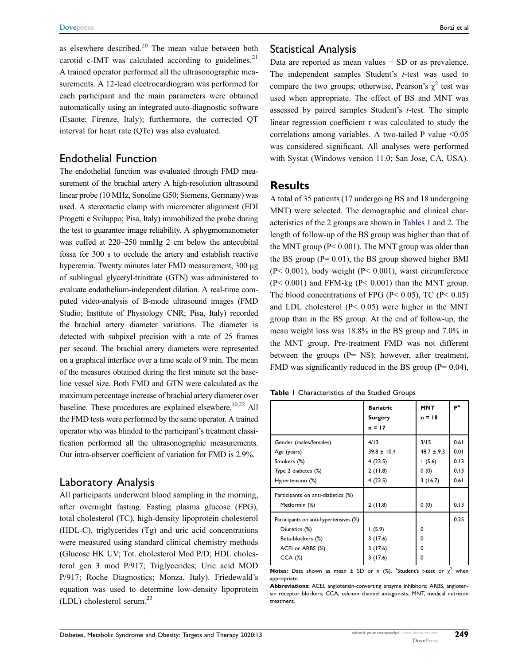<span id="page-2-2"></span><span id="page-2-1"></span>as elsewhere described. $20$  The mean value between both carotid c-IMT was calculated according to guidelines. $21$ A trained operator performed all the ultrasonographic measurements. A 12-lead electrocardiogram was performed for each participant and the main parameters were obtained automatically using an integrated auto-diagnostic software (Esaote; Firenze, Italy); furthermore, the corrected QT interval for heart rate (QTc) was also evaluated.

#### Endothelial Function

The endothelial function was evaluated through FMD measurement of the brachial artery A high-resolution ultrasound linear probe (10 MHz, Sonoline G50; Siemens, Germany) was used. A stereotactic clamp with micrometer alignment (EDI Progetti e Sviluppo; Pisa, Italy) immobilized the probe during the test to guarantee image reliability. A sphygmomanometer was cuffed at 220–250 mmHg 2 cm below the antecubital fossa for 300 s to occlude the artery and establish reactive hyperemia. Twenty minutes later FMD measurement, 300 μg of sublingual glyceryl-trinitrate (GTN) was administered to evaluate endothelium-independent dilation. A real-time computed video-analysis of B-mode ultrasound images (FMD Studio; Institute of Physiology CNR; Pisa, Italy) recorded the brachial artery diameter variations. The diameter is detected with subpixel precision with a rate of 25 frames per second. The brachial artery diameters were represented on a graphical interface over a time scale of 9 min. The mean of the measures obtained during the first minute set the baseline vessel size. Both FMD and GTN were calculated as the maximum percentage increase of brachial artery diameter over baseline. These procedures are explained elsewhere.<sup>10,[22](#page-8-20)</sup> All the FMD tests were performed by the same operator. A trained operator who was blinded to the participant's treatment classification performed all the ultrasonographic measurements. Our intra-observer coefficient of variation for FMD is 2.9%.

#### <span id="page-2-3"></span>Laboratory Analysis

<span id="page-2-4"></span>All participants underwent blood sampling in the morning, after overnight fasting. Fasting plasma glucose (FPG), total cholesterol (TC), high-density lipoprotein cholesterol (HDL-C), triglycerides (Tg) and uric acid concentrations were measured using standard clinical chemistry methods (Glucose HK UV; Tot. cholesterol Mod P/D; HDL cholesterol gen 3 mod P/917; Triglycerides; Uric acid MOD P/917; Roche Diagnostics; Monza, Italy). Friedewald's equation was used to determine low-density lipoprotein  $(LDL)$  cholesterol serum.<sup>[23](#page-8-21)</sup>

#### Statistical Analysis

Data are reported as mean values  $\pm$  SD or as prevalence. The independent samples Student's t-test was used to compare the two groups; otherwise, Pearson's  $\chi^2$  test was used when appropriate. The effect of BS and MNT was assessed by paired samples Student's t-test. The simple linear regression coefficient r was calculated to study the correlations among variables. A two-tailed P value  $\leq 0.05$ was considered significant. All analyses were performed with Systat (Windows version 11.0; San Jose, CA, USA).

#### **Results**

A total of 35 patients (17 undergoing BS and 18 undergoing MNT) were selected. The demographic and clinical characteristics of the 2 groups are shown in [Tables 1](#page-2-0) and [2.](#page-3-0) The length of follow-up of the BS group was higher than that of the MNT group (P< 0.001). The MNT group was older than the BS group ( $P = 0.01$ ), the BS group showed higher BMI (P< 0.001), body weight (P< 0.001), waist circumference  $(P< 0.001)$  and FFM-kg  $(P< 0.001)$  than the MNT group. The blood concentrations of FPG (P<  $0.05$ ), TC (P<  $0.05$ ) and LDL cholesterol (P< 0.05) were higher in the MNT group than in the BS group. At the end of follow-up, the mean weight loss was 18.8% in the BS group and 7.0% in the MNT group. Pre-treatment FMD was not different between the groups  $(P= NS)$ ; however, after treatment, FMD was significantly reduced in the BS group ( $P = 0.04$ ),

<span id="page-2-0"></span>

|                                                     | <b>Bariatric</b><br>Surgery<br>$n = 17$ | <b>MNT</b><br>$n = 18$ | P <sup>a</sup> |
|-----------------------------------------------------|-----------------------------------------|------------------------|----------------|
| Gender (males/females)                              | 4/13                                    | 3/15                   | 0.61           |
| Age (years)                                         | $39.8 \pm 10.4$                         | $48.7 \pm 9.3$         | 0.01           |
| Smokers (%)                                         | 4(23.5)                                 | 1(5.6)                 | 0.13           |
| Type 2 diabetes (%)                                 | 2(11.8)                                 | 0(0)                   | 0.13           |
| Hypertension (%)                                    | 4(23.5)                                 | 3(16.7)                | 0.61           |
| Participants on anti-diabetics (%)<br>Metformin (%) | 2(11.8)                                 | 0(0)                   | 0.13           |
| Participants on anti-hypertensives (%)              |                                         |                        | 0.25           |
| Diuretics (%)                                       | 1(5.9)                                  | 0                      |                |
| Beta-blockers (%)                                   | 3(17.6)                                 | $\Omega$               |                |
| ACEI or ARBS (%)                                    | 3(17.6)                                 | 0                      |                |
| $CCA$ $(\%)$                                        | 3(17.6)                                 | 0                      |                |

**Notes:** Data shown as mean  $\pm$  SD or n (%). <sup>a</sup>Student's *t*-test or  $\chi^2$  when appropriate.

Abbreviations: ACEI, angiotensin-converting enzyme inhibitors; ARBS, angiotensin receptor blockers; CCA, calcium channel antagonists; MNT, medical nutrition treatment.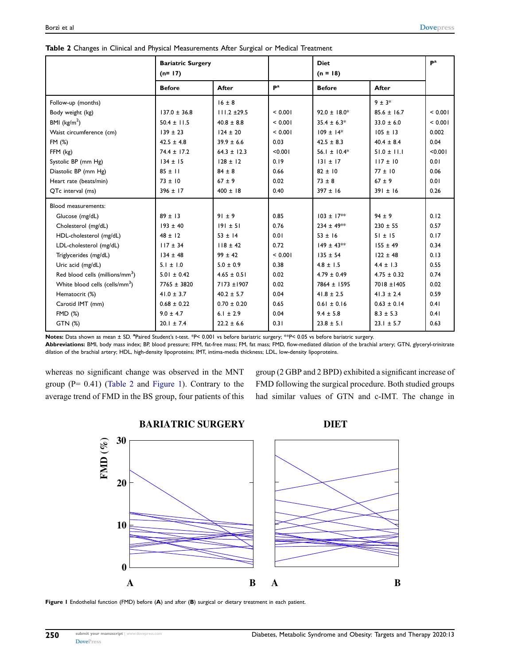|                                             | <b>Bariatric Surgery</b><br>$(n=17)$ |                  |                           | <b>Diet</b><br>$(n = 18)$ |                 | $\mathbf{P}^{\mathbf{a}}$ |
|---------------------------------------------|--------------------------------------|------------------|---------------------------|---------------------------|-----------------|---------------------------|
|                                             | <b>Before</b>                        | After            | $\mathbf{P}^{\mathbf{a}}$ | <b>Before</b>             | After           |                           |
| Follow-up (months)                          |                                      | $16 \pm 8$       |                           |                           | $9 \pm 3*$      |                           |
| Body weight (kg)                            | $137.0 \pm 36.8$                     | $111.2 \pm 29.5$ | < 0.001                   | $92.0 \pm 18.0*$          | $85.6 \pm 16.7$ | < 0.001                   |
| BMI $(kg/m2)$                               | $50.4 \pm 11.5$                      | $40.8 \pm 8.8$   | < 0.001                   | $35.4 \pm 6.3*$           | $33.0 \pm 6.0$  | < 0.001                   |
| Waist circumference (cm)                    | $139 \pm 23$                         | $124 \pm 20$     | < 0.001                   | $109 \pm 14*$             | $105 \pm 13$    | 0.002                     |
| FM (%)                                      | $42.5 \pm 4.8$                       | $39.9 \pm 6.6$   | 0.03                      | $42.5 \pm 8.3$            | $40.4 \pm 8.4$  | 0.04                      |
| FFM (kg)                                    | $74.4 \pm 17.2$                      | $64.3 \pm 12.3$  | < 0.001                   | 56.1 ± $10.4*$            | $51.0 \pm 11.1$ | < 0.001                   |
| Systolic BP (mm Hg)                         | $134 \pm 15$                         | $128 \pm 12$     | 0.19                      | $131 \pm 17$              | $117 \pm 10$    | 0.01                      |
| Diastolic BP (mm Hg)                        | $85 \pm 11$                          | $84 \pm 8$       | 0.66                      | $82 \pm 10$               | $77 \pm 10$     | 0.06                      |
| Heart rate (beats/min)                      | $73 \pm 10$                          | $67 \pm 9$       | 0.02                      | $73 \pm 8$                | $67 \pm 9$      | 0.01                      |
| QTc interval (ms)                           | $396 \pm 17$                         | $400 \pm 18$     | 0.40                      | $397 \pm 16$              | $391 \pm 16$    | 0.26                      |
| Blood measurements:                         |                                      |                  |                           |                           |                 |                           |
| Glucose (mg/dL)                             | $89 \pm 13$                          | $91 \pm 9$       | 0.85                      | $103 \pm 17**$            | $94 \pm 9$      | 0.12                      |
| Cholesterol (mg/dL)                         | $193 \pm 40$                         | $191 \pm 51$     | 0.76                      | $234 \pm 49**$            | $230 \pm 55$    | 0.57                      |
| HDL-cholesterol (mg/dL)                     | $48 \pm 12$                          | $53 \pm 14$      | 0.01                      | $53 \pm 16$               | $51 \pm 15$     | 0.17                      |
| LDL-cholesterol (mg/dL)                     | $117 \pm 34$                         | $118 \pm 42$     | 0.72                      | $149 \pm 43$ **           | $155 \pm 49$    | 0.34                      |
| Triglycerides (mg/dL)                       | $134 \pm 48$                         | $99 \pm 42$      | < 0.001                   | $135 \pm 54$              | $122 \pm 48$    | 0.13                      |
| Uric acid (mg/dL)                           | $5.1 \pm 1.0$                        | $5.0 \pm 0.9$    | 0.38                      | $4.8 \pm 1.5$             | $4.4 \pm 1.3$   | 0.55                      |
| Red blood cells (millions/mm <sup>3</sup> ) | $5.01 \pm 0.42$                      | $4.65 \pm 0.51$  | 0.02                      | $4.79 \pm 0.49$           | $4.75 \pm 0.32$ | 0.74                      |
| White blood cells (cells/mm <sup>3</sup> )  | 7765 ± 3820                          | 7173 ±1907       | 0.02                      | 7864 ± 1595               | 7018 ±1405      | 0.02                      |
| Hematocrit (%)                              | $41.0 \pm 3.7$                       | $40.2 \pm 5.7$   | 0.04                      | $41.8 \pm 2.5$            | $41.3 \pm 2.4$  | 0.59                      |
| Carotid IMT (mm)                            | $0.68 \pm 0.22$                      | $0.70 \pm 0.20$  | 0.65                      | $0.61 \pm 0.16$           | $0.63 \pm 0.14$ | 0.41                      |
| <b>FMD (%)</b>                              | $9.0 \pm 4.7$                        | $6.1 \pm 2.9$    | 0.04                      | $9.4 \pm 5.8$             | $8.3 \pm 5.3$   | 0.41                      |
| GTN (%)                                     | $20.1 \pm 7.4$                       | $22.2 \pm 6.6$   | 0.31                      | $23.8 \pm 5.1$            | $23.1 \pm 5.7$  | 0.63                      |

<span id="page-3-0"></span>

| Table 2 Changes in Clinical and Physical Measurements After Surgical or Medical Treatment |  |
|-------------------------------------------------------------------------------------------|--|
|-------------------------------------------------------------------------------------------|--|

Notes: Data shown as mean ± SD. <sup>a</sup>Paired Student's t-test. \*P< 0.001 vs before bariatric surgery; \*\*P< 0.05 vs before bariatric surgery.

Abbreviations: BMI, body mass index; BP, blood pressure; FFM, fat-free mass; FM, fat mass; FMD, flow-mediated dilation of the brachial artery; GTN, glyceryl-trinitrate dilation of the brachial artery; HDL, high-density lipoproteins; IMT, intima-media thickness; LDL, low-density lipoproteins.

whereas no significant change was observed in the MNT group  $(P= 0.41)$  [\(Table 2](#page-3-0) and [Figure 1](#page-3-1)). Contrary to the average trend of FMD in the BS group, four patients of this group (2 GBP and 2 BPD) exhibited a significant increase of FMD following the surgical procedure. Both studied groups had similar values of GTN and c-IMT. The change in

<span id="page-3-1"></span>

Figure 1 Endothelial function (FMD) before (A) and after (B) surgical or dietary treatment in each patient.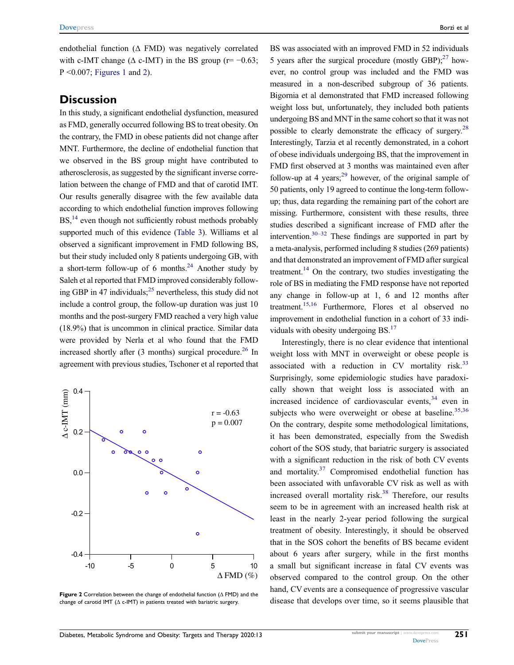endothelial function (Δ FMD) was negatively correlated with c-IMT change ( $\Delta$  c-IMT) in the BS group (r= -0.63;  $P \leq 0.007$ ; [Figures 1](#page-3-1) and [2](#page-4-0)).

#### **Discussion**

In this study, a significant endothelial dysfunction, measured as FMD, generally occurred following BS to treat obesity. On the contrary, the FMD in obese patients did not change after MNT. Furthermore, the decline of endothelial function that we observed in the BS group might have contributed to atherosclerosis, as suggested by the significant inverse correlation between the change of FMD and that of carotid IMT. Our results generally disagree with the few available data according to which endothelial function improves following BS,<sup>14</sup> even though not sufficiently robust methods probably supported much of this evidence ([Table 3\)](#page-5-0). Williams et al observed a significant improvement in FMD following BS, but their study included only 8 patients undergoing GB, with a short-term follow-up of 6 months.<sup>24</sup> Another study by Saleh et al reported that FMD improved considerably following GBP in 47 individuals; $^{25}$  nevertheless, this study did not include a control group, the follow-up duration was just 10 months and the post-surgery FMD reached a very high value (18.9%) that is uncommon in clinical practice. Similar data were provided by Nerla et al who found that the FMD increased shortly after  $(3 \text{ months})$  surgical procedure.<sup>26</sup> In agreement with previous studies, Tschoner et al reported that

<span id="page-4-4"></span><span id="page-4-3"></span><span id="page-4-2"></span><span id="page-4-0"></span>

Figure 2 Correlation between the change of endothelial function ( $\Delta$  FMD) and the change of carotid IMT ( $\Delta$  c-IMT) in patients treated with bariatric surgery.

<span id="page-4-7"></span><span id="page-4-6"></span><span id="page-4-5"></span>BS was associated with an improved FMD in 52 individuals 5 years after the surgical procedure (mostly GBP); $^{27}$  however, no control group was included and the FMD was measured in a non-described subgroup of 36 patients. Bigornia et al demonstrated that FMD increased following weight loss but, unfortunately, they included both patients undergoing BS and MNT in the same cohort so that it was not possible to clearly demonstrate the efficacy of surgery[.28](#page-9-3) Interestingly, Tarzia et al recently demonstrated, in a cohort of obese individuals undergoing BS, that the improvement in FMD first observed at 3 months was maintained even after follow-up at 4 years; $^{29}$  $^{29}$  $^{29}$  however, of the original sample of 50 patients, only 19 agreed to continue the long-term followup; thus, data regarding the remaining part of the cohort are missing. Furthermore, consistent with these results, three studies described a significant increase of FMD after the intervention.<sup>30–[32](#page-9-6)</sup> These findings are supported in part by a meta-analysis, performed including 8 studies (269 patients) and that demonstrated an improvement of FMD after surgical treatment.<sup>14</sup> On the contrary, two studies investigating the role of BS in mediating the FMD response have not reported any change in follow-up at 1, 6 and 12 months after treatment[.15](#page-8-14)[,16](#page-8-23) Furthermore, Flores et al observed no improvement in endothelial function in a cohort of 33 individuals with obesity undergoing  $BS^{17}$ .

<span id="page-4-13"></span><span id="page-4-12"></span><span id="page-4-11"></span><span id="page-4-10"></span><span id="page-4-9"></span><span id="page-4-8"></span><span id="page-4-1"></span>Interestingly, there is no clear evidence that intentional weight loss with MNT in overweight or obese people is associated with a reduction in CV mortality risk. $33$ Surprisingly, some epidemiologic studies have paradoxically shown that weight loss is associated with an increased incidence of cardiovascular events,  $34$  even in subjects who were overweight or obese at baseline.  $35,36$  $35,36$  $35,36$ On the contrary, despite some methodological limitations, it has been demonstrated, especially from the Swedish cohort of the SOS study, that bariatric surgery is associated with a significant reduction in the risk of both CV events and mortality[.37](#page-9-11) Compromised endothelial function has been associated with unfavorable CV risk as well as with increased overall mortality risk.<sup>[38](#page-9-12)</sup> Therefore, our results seem to be in agreement with an increased health risk at least in the nearly 2-year period following the surgical treatment of obesity. Interestingly, it should be observed that in the SOS cohort the benefits of BS became evident about 6 years after surgery, while in the first months a small but significant increase in fatal CV events was observed compared to the control group. On the other hand, CV events are a consequence of progressive vascular disease that develops over time, so it seems plausible that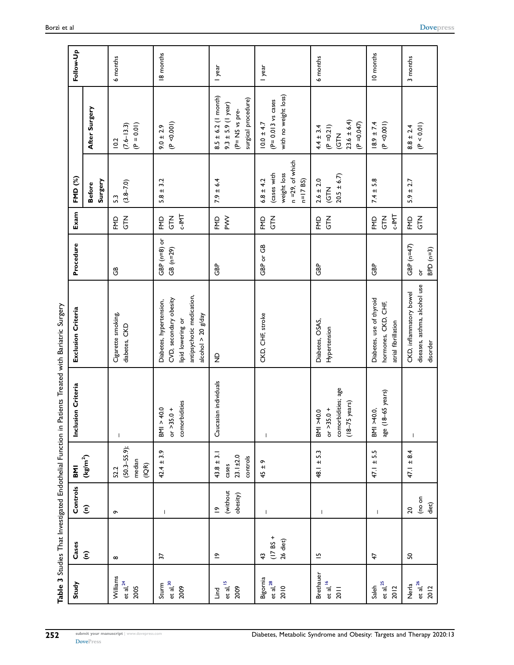<span id="page-5-0"></span>

|                                    | Table 3 Studies That Investigated Endothelial Function in |                                     |                                                       |                                                                              | Patients Treated with Bariatric Surgery                                                                                     |                                                             |                                   |                                                                                  |                                                                                            |           |
|------------------------------------|-----------------------------------------------------------|-------------------------------------|-------------------------------------------------------|------------------------------------------------------------------------------|-----------------------------------------------------------------------------------------------------------------------------|-------------------------------------------------------------|-----------------------------------|----------------------------------------------------------------------------------|--------------------------------------------------------------------------------------------|-----------|
| Study                              | Cases                                                     | Controls                            | <b>INB</b>                                            | Inclusion Criteria                                                           | Exclusion Criteria                                                                                                          | Procedure                                                   | Exam                              | FMD (%)                                                                          |                                                                                            | Follow-Up |
|                                    | $\widehat{\boldsymbol{\epsilon}}$                         | $\widehat{\boldsymbol{\epsilon}}$   | $(\text{kg/m}^2)$                                     |                                                                              |                                                                                                                             |                                                             |                                   | Surgery<br><b>Before</b>                                                         | After Surgery                                                                              |           |
| Williams<br>et al, $^{24}$<br>2005 | $\infty$                                                  | $\sigma$                            | $(50.3 - 55.9);$<br>median<br>(10R)<br>52.2           | $\mathsf I$                                                                  | Cigarette smoking,<br>diabetes, CKD                                                                                         | ලී                                                          | $\frac{2}{5}$<br>FMD              | $(3.8 - 7.0)$<br>$\mathbb{C}$                                                    | $(P = 0.01)$<br>$(7.6 - 13.3)$<br>10.2                                                     | 6 months  |
| $et$ al, $30$<br>Sturm<br>2009     | 22                                                        | $\overline{\phantom{a}}$            | $42.4 \pm 3.9$                                        | comorbidities<br>BNI > 40.0<br>$or > 35.0 +$                                 | antipsychotic medication,<br>CVD, secondary obesity<br>Diabetes, hypertension,<br>alcohol $>$ 20 g/day<br>lipid lowering or | GBP $(n=8)$ or<br>GB (n=29)                                 | <b>LNI-2</b><br><b>NLS</b><br>FMD | $5.8 \pm 3.2$                                                                    | (P < 0.001)<br>$9.0 \pm 2.9$                                                               | 18 months |
| et al, ${}^{15}$<br>2009<br>Lind   | $\tilde{\mathbb{C}}$                                      | (without<br>obesity)<br>$\tilde{c}$ | $43.8 \pm 3.1$<br>$23.1 \pm 2.0$<br>controls<br>cases | Caucasian individuals                                                        | $\frac{1}{2}$                                                                                                               | <b>GBP</b>                                                  | $\sum_{i=1}^{n}$<br>FMD           | $7.9 \pm 6.4$                                                                    | $8.5 \pm 6.2$ (1 month)<br>surgical procedure)<br>$9.3 \pm 5.9$ (1 year)<br>(P= NS vs pre- | I year    |
| Bigornia<br>et al, $^{28}$<br>2010 | $(17 B5 +$<br>26 diet)<br>$\ddot{ }$                      | $\mathbf{I}$                        | ᡡ<br>45 ±                                             | $\overline{\phantom{a}}$                                                     | CKD, CHF, stroke                                                                                                            | GBP or GB                                                   | <b>NTG</b><br>FMD                 | $n = 29$ , of which<br>weight loss<br>(cases with<br>$6.8 \pm 4.2$<br>$n=17$ BS) | with no weight loss)<br>$(P = 0.013$ vs cases<br>$10.0 \pm 4.7$                            | I year    |
| Brethauer<br>et al, $16$<br>201    | $\overline{5}$                                            | $\mathbf{I}$                        | $48.1 \pm 5.3$                                        | comorbidities; age<br>$(18 - 75 \text{ years})$<br>or $>35.0 +$<br>BMI >40.0 | Diabetes, OSAS,<br>Hypertension                                                                                             | GBP                                                         | <b>ALC</b><br>FMD                 | $20.5 \pm 6.7$<br>$2.6 \pm 2.0$<br><b>KLD</b>                                    | $23.6 \pm 6.4$<br>$(P = 0.047)$<br>$(P = 0.21)$<br>$4.4 \pm 3.4$<br><b>KLC</b>             | 6 months  |
| et al, $^{25}$<br>Saleh<br>2012    | 47                                                        | $\overline{\phantom{a}}$            | 5.5<br>47.1 ±                                         | age (18-65 years)<br>BMI >40.0,                                              | Diabetes, use of thyroid<br>hormones, CKD, CHF,<br>atrial fibrillation                                                      | <b>GBP</b>                                                  | <b>C-IMT</b><br><b>NTC</b><br>EMD | $7.4 \pm 5.8$                                                                    | $18.9 \pm 7.4$<br>(P < 0.001)                                                              | 10 months |
| et al, $26$<br>Nerla<br>2012       | ႙                                                         | (no on<br>diet)<br>$\overline{20}$  | $47.1 \pm 8.4$                                        | $\mathsf{I}$                                                                 | diseases, asthma, alcohol use<br>CKD, inflammatory bowel<br>disorder                                                        | GBP $(n=47)$<br>$BPD$ ( $n=3$ )<br>$\overleftarrow{\sigma}$ | $\frac{2}{5}$<br>FMD              | $5.9 \pm 2.7$                                                                    | (P < 0.01)<br>$8.8 \pm 2.4$                                                                | 3 months  |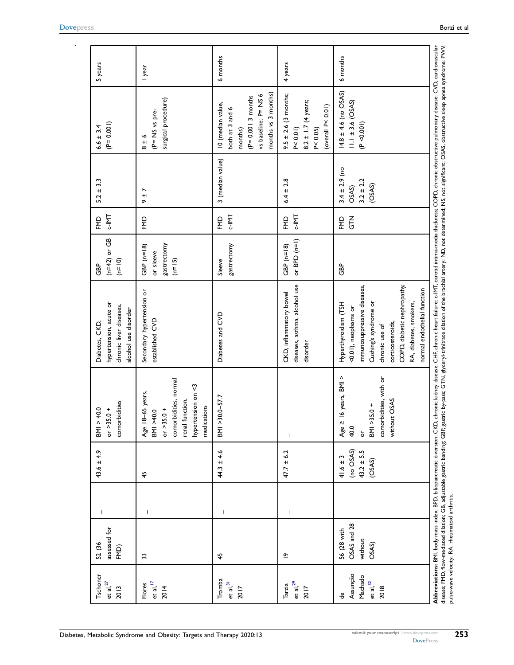| ō<br>$C-IMIT$<br><b>LNI-2</b><br>FMD<br><b>NTG</b><br>FMD<br>ΕMD<br>ΕMD<br>or BPD (n=1)<br>gastrectomy<br>gastrectomy<br>GBP $(n=18)$<br>GBP $(n=18)$<br>or sleeve<br>$(n=15)$<br>Sleeve<br>සි<br>diseases, asthma, alcohol use<br>immunosuppressive diseases,<br>Secondary hypertension or<br>CKD, inflammatory bowel<br>Hyperthyroidism (TSH<br>Cushing's syndrome or<br><0.01), neoplasms or<br>Diabetes and CVD<br>established CVD<br>corticosteroids,<br>chronic use of<br>disorder<br>16 years, BMI ><br>comorbidities, with or<br>comorbidities, normal<br>hypertension on <3<br>3-65 years,<br>$30.0 - 57.7$<br>without OSAS<br>renal function,<br>BMI >35.0+<br>medications<br>$or > 35.0 +$<br>BMI >40.0<br>Age 18<br>SKI NS<br>Age $\geq$<br>40.0<br>ð<br>(no OSAS)<br>$44.3 \pm 4.6$<br>$43.2 \pm 5.5$<br>$47.7 \pm 6.2$<br>$41.6 \pm 3$<br>(OSAS)<br>45<br>$\mathsf{I}$<br>$\overline{\phantom{a}}$<br>-1<br>$\overline{\phantom{a}}$<br>OSAS and 28<br>56 (28 with<br>without<br>OSAS)<br>45<br>$\tilde{=}$<br>33<br>Assunção<br>Machado<br>Tromba<br>et al, $32$<br>et al, $31$<br>et al, $17$<br>et al, $^{29}$<br>Flores<br>Tarzia<br>2018<br>2014<br>2017<br>2017 | Tschoner<br>et al, $^{27}$<br>2013 | assessed for<br>52 (36<br>FMD) | $\mathsf{I}$ | $43.6 \pm 4.9$ | comorbidities<br>40.0<br>$\frac{+}{0}$<br>or $>35$<br>$\frac{1}{2}$ | hypertension, acute or<br>chronic liver diseases,<br>alcohol use disorder<br>Diabetes, CKD, | $(n=42)$ or GB<br>$(n=10)$<br><b>GBP</b> | <b>C-IMT</b><br>FMD | $5.2 \pm 3.3$                                         | $(P= 0.001)$<br>$6.6 \pm 3.4$                                                                                         | 5 years  |
|-------------------------------------------------------------------------------------------------------------------------------------------------------------------------------------------------------------------------------------------------------------------------------------------------------------------------------------------------------------------------------------------------------------------------------------------------------------------------------------------------------------------------------------------------------------------------------------------------------------------------------------------------------------------------------------------------------------------------------------------------------------------------------------------------------------------------------------------------------------------------------------------------------------------------------------------------------------------------------------------------------------------------------------------------------------------------------------------------------------------------------------------------------------------------------------|------------------------------------|--------------------------------|--------------|----------------|---------------------------------------------------------------------|---------------------------------------------------------------------------------------------|------------------------------------------|---------------------|-------------------------------------------------------|-----------------------------------------------------------------------------------------------------------------------|----------|
|                                                                                                                                                                                                                                                                                                                                                                                                                                                                                                                                                                                                                                                                                                                                                                                                                                                                                                                                                                                                                                                                                                                                                                                     |                                    |                                |              |                |                                                                     |                                                                                             |                                          |                     | r<br>$+1$                                             | surgical procedure)<br>(P= NS vs pre-<br>∾<br>$\frac{1}{\infty}$                                                      | I year   |
|                                                                                                                                                                                                                                                                                                                                                                                                                                                                                                                                                                                                                                                                                                                                                                                                                                                                                                                                                                                                                                                                                                                                                                                     |                                    |                                |              |                |                                                                     |                                                                                             |                                          |                     | 3 (median value)                                      | months vs 3 months)<br>vs baseline; P= NS 6<br>$(P= 0.0013$ months<br>10 (median value,<br>both at 3 and 6<br>months) | 6 months |
|                                                                                                                                                                                                                                                                                                                                                                                                                                                                                                                                                                                                                                                                                                                                                                                                                                                                                                                                                                                                                                                                                                                                                                                     |                                    |                                |              |                |                                                                     |                                                                                             |                                          |                     | $6.4 \pm 2.8$                                         | $9.5 \pm 2.6$ (3 months;<br>$8.2 \pm 1.7$ (4 years;<br>(overall $P< 0.01$ )<br>P < 0.05<br>P < 0.01                   | 4 years  |
| normal endothelial function<br>RA, diabetes, smokers,                                                                                                                                                                                                                                                                                                                                                                                                                                                                                                                                                                                                                                                                                                                                                                                                                                                                                                                                                                                                                                                                                                                               |                                    |                                |              |                |                                                                     | COPD, diabetic nephropathy,                                                                 |                                          |                     | $3.4 \pm 2.9$ (no<br>$3.2 \pm 2.2$<br>(OSAS)<br>OSAS) | $14.8 \pm 4.6$ (no OSAS)<br>$11.1 \pm 3.6$ (OSAS)<br>(P < 0.001)                                                      | 6 months |

<span id="page-6-0"></span>[DovePress](http://www.dovepress.com)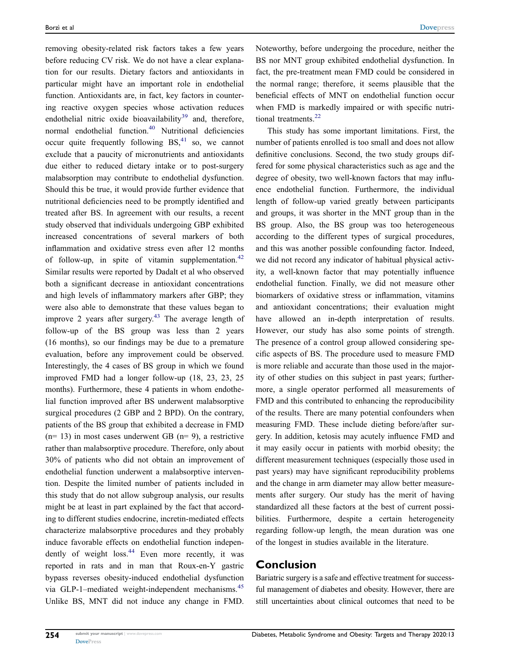<span id="page-7-4"></span><span id="page-7-3"></span><span id="page-7-2"></span><span id="page-7-1"></span><span id="page-7-0"></span>removing obesity-related risk factors takes a few years before reducing CV risk. We do not have a clear explanation for our results. Dietary factors and antioxidants in particular might have an important role in endothelial function. Antioxidants are, in fact, key factors in countering reactive oxygen species whose activation reduces endothelial nitric oxide bioavailability $39$  and, therefore, normal endothelial function.<sup>[40](#page-9-15)</sup> Nutritional deficiencies occur quite frequently following  $BS<sub>1</sub><sup>41</sup>$  $BS<sub>1</sub><sup>41</sup>$  $BS<sub>1</sub><sup>41</sup>$  so, we cannot exclude that a paucity of micronutrients and antioxidants due either to reduced dietary intake or to post-surgery malabsorption may contribute to endothelial dysfunction. Should this be true, it would provide further evidence that nutritional deficiencies need to be promptly identified and treated after BS. In agreement with our results, a recent study observed that individuals undergoing GBP exhibited increased concentrations of several markers of both inflammation and oxidative stress even after 12 months of follow-up, in spite of vitamin supplementation. $42$ Similar results were reported by Dadalt et al who observed both a significant decrease in antioxidant concentrations and high levels of inflammatory markers after GBP; they were also able to demonstrate that these values began to improve 2 years after surgery. $43$  The average length of follow-up of the BS group was less than 2 years (16 months), so our findings may be due to a premature evaluation, before any improvement could be observed. Interestingly, the 4 cases of BS group in which we found improved FMD had a longer follow-up (18, 23, 23, 25 months). Furthermore, these 4 patients in whom endothelial function improved after BS underwent malabsorptive surgical procedures (2 GBP and 2 BPD). On the contrary, patients of the BS group that exhibited a decrease in FMD  $(n= 13)$  in most cases underwent GB  $(n= 9)$ , a restrictive rather than malabsorptive procedure. Therefore, only about 30% of patients who did not obtain an improvement of endothelial function underwent a malabsorptive intervention. Despite the limited number of patients included in this study that do not allow subgroup analysis, our results might be at least in part explained by the fact that according to different studies endocrine, incretin-mediated effects characterize malabsorptive procedures and they probably induce favorable effects on endothelial function indepen-dently of weight loss.<sup>[44](#page-9-19)</sup> Even more recently, it was reported in rats and in man that Roux-en-Y gastric bypass reverses obesity-induced endothelial dysfunction via GLP-1–mediated weight-independent mechanisms.<sup>[45](#page-9-20)</sup> Unlike BS, MNT did not induce any change in FMD. Noteworthy, before undergoing the procedure, neither the BS nor MNT group exhibited endothelial dysfunction. In fact, the pre-treatment mean FMD could be considered in the normal range; therefore, it seems plausible that the beneficial effects of MNT on endothelial function occur when FMD is markedly impaired or with specific nutri-tional treatments.<sup>[22](#page-8-20)</sup>

This study has some important limitations. First, the number of patients enrolled is too small and does not allow definitive conclusions. Second, the two study groups differed for some physical characteristics such as age and the degree of obesity, two well-known factors that may influence endothelial function. Furthermore, the individual length of follow-up varied greatly between participants and groups, it was shorter in the MNT group than in the BS group. Also, the BS group was too heterogeneous according to the different types of surgical procedures, and this was another possible confounding factor. Indeed, we did not record any indicator of habitual physical activity, a well-known factor that may potentially influence endothelial function. Finally, we did not measure other biomarkers of oxidative stress or inflammation, vitamins and antioxidant concentrations; their evaluation might have allowed an in-depth interpretation of results. However, our study has also some points of strength. The presence of a control group allowed considering specific aspects of BS. The procedure used to measure FMD is more reliable and accurate than those used in the majority of other studies on this subject in past years; furthermore, a single operator performed all measurements of FMD and this contributed to enhancing the reproducibility of the results. There are many potential confounders when measuring FMD. These include dieting before/after surgery. In addition, ketosis may acutely influence FMD and it may easily occur in patients with morbid obesity; the different measurement techniques (especially those used in past years) may have significant reproducibility problems and the change in arm diameter may allow better measurements after surgery. Our study has the merit of having standardized all these factors at the best of current possibilities. Furthermore, despite a certain heterogeneity regarding follow-up length, the mean duration was one of the longest in studies available in the literature.

#### <span id="page-7-5"></span>Conclusion

<span id="page-7-6"></span>Bariatric surgery is a safe and effective treatment for successful management of diabetes and obesity. However, there are still uncertainties about clinical outcomes that need to be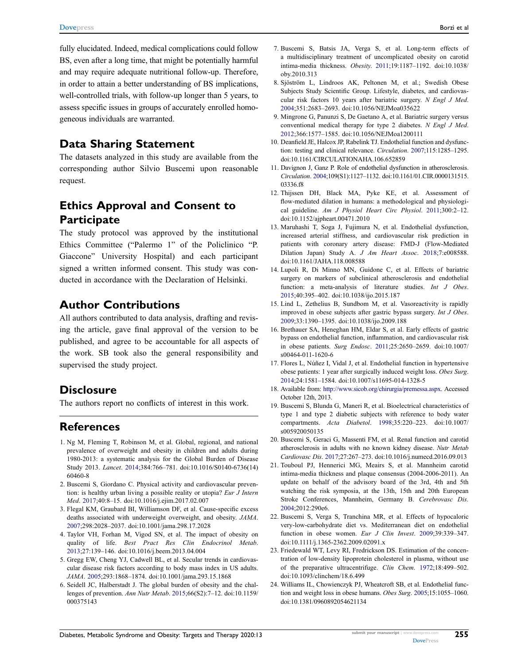fully elucidated. Indeed, medical complications could follow BS, even after a long time, that might be potentially harmful and may require adequate nutritional follow-up. Therefore, in order to attain a better understanding of BS implications, well-controlled trials, with follow-up longer than 5 years, to assess specific issues in groups of accurately enrolled homogeneous individuals are warranted.

#### Data Sharing Statement

The datasets analyzed in this study are available from the corresponding author Silvio Buscemi upon reasonable request.

### Ethics Approval and Consent to **Participate**

The study protocol was approved by the institutional Ethics Committee ("Palermo 1" of the Policlinico "P. Giaccone" University Hospital) and each participant signed a written informed consent. This study was conducted in accordance with the Declaration of Helsinki.

#### Author Contributions

All authors contributed to data analysis, drafting and revising the article, gave final approval of the version to be published, and agree to be accountable for all aspects of the work. SB took also the general responsibility and supervised the study project.

#### **Disclosure**

The authors report no conflicts of interest in this work.

#### References

- <span id="page-8-0"></span>1. Ng M, Fleming T, Robinson M, et al. Global, regional, and national prevalence of overweight and obesity in children and adults during 1980-2013: a systematic analysis for the Global Burden of Disease Study 2013. Lancet. [2014](#page-0-5);384:766–781. doi:[10.1016/S0140-6736\(14\)](https://doi.org/10.1016/S0140-6736(14)60460-8) [60460-8](https://doi.org/10.1016/S0140-6736(14)60460-8)
- <span id="page-8-1"></span>2. Buscemi S, Giordano C. Physical activity and cardiovascular prevention: is healthy urban living a possible reality or utopia? Eur J Intern Med. [2017;](#page-0-5)40:8–15. doi:[10.1016/j.ejim.2017.02.007](https://doi.org/10.1016/j.ejim.2017.02.007)
- <span id="page-8-2"></span>3. Flegal KM, Graubard BI, Williamson DF, et al. Cause-specific excess deaths associated with underweight overweight, and obesity. JAMA. [2007;](#page-0-6)298:2028–2037. doi:[10.1001/jama.298.17.2028](https://doi.org/10.1001/jama.298.17.2028)
- <span id="page-8-3"></span>4. Taylor VH, Forhan M, Vigod SN, et al. The impact of obesity on quality of life. Best Pract Res Clin Endocrinol Metab. [2013;](#page-0-6)27:139–146. doi:[10.1016/j.beem.2013.04.004](https://doi.org/10.1016/j.beem.2013.04.004)
- <span id="page-8-4"></span>5. Gregg EW, Cheng YJ, Cadwell BL, et al. Secular trends in cardiovascular disease risk factors according to body mass index in US adults. JAMA. [2005](#page-0-7);293:1868–1874. doi:[10.1001/jama.293.15.1868](https://doi.org/10.1001/jama.293.15.1868)
- <span id="page-8-5"></span>6. Seidell JC, Halberstadt J. The global burden of obesity and the challenges of prevention. Ann Nutr Metab. [2015](#page-0-8);66(S2):7–12. doi:[10.1159/](https://doi.org/10.1159/000375143) [000375143](https://doi.org/10.1159/000375143)
- <span id="page-8-6"></span>7. Buscemi S, Batsis JA, Verga S, et al. Long-term effects of a multidisciplinary treatment of uncomplicated obesity on carotid intima-media thickness. Obesity. [2011](#page-0-9);19:1187–1192. doi:[10.1038/](https://doi.org/10.1038/oby.2010.313) [oby.2010.313](https://doi.org/10.1038/oby.2010.313)
- <span id="page-8-7"></span>8. Sjöström L, Lindroos AK, Peltonen M, et al.; Swedish Obese Subjects Study Scientific Group. Lifestyle, diabetes, and cardiovascular risk factors 10 years after bariatric surgery. N Engl J Med. [2004](#page-1-0);351:2683–2693. doi:[10.1056/NEJMoa035622](https://doi.org/10.1056/NEJMoa035622)
- <span id="page-8-8"></span>9. Mingrone G, Panunzi S, De Gaetano A, et al. Bariatric surgery versus conventional medical therapy for type 2 diabetes. N Engl J Med. [2012](#page-1-0);366:1577–1585. doi:[10.1056/NEJMoa1200111](https://doi.org/10.1056/NEJMoa1200111)
- <span id="page-8-9"></span>10. Deanfield JE, Halcox JP, Rabelink TJ. Endothelial function and dysfunction: testing and clinical relevance. Circulation. [2007](#page-1-1);115:1285–1295. doi:[10.1161/CIRCULATIONAHA.106.652859](https://doi.org/10.1161/CIRCULATIONAHA.106.652859)
- <span id="page-8-10"></span>11. Davignon J, Ganz P. Role of endothelial dysfunction in atherosclerosis. Circulation. [2004;](#page-1-2)109(S1):1127–1132. doi:[10.1161/01.CIR.0000131515.](https://doi.org/10.1161/01.CIR.0000131515.03336.f8) [03336.f8](https://doi.org/10.1161/01.CIR.0000131515.03336.f8)
- <span id="page-8-11"></span>12. Thijssen DH, Black MA, Pyke KE, et al. Assessment of flow-mediated dilation in humans: a methodological and physiologi-cal guideline. Am J Physiol Heart Circ Physiol. [2011;](#page-1-3)300:2-12. doi:[10.1152/ajpheart.00471.2010](https://doi.org/10.1152/ajpheart.00471.2010)
- <span id="page-8-12"></span>13. Maruhashi T, Soga J, Fujimura N, et al. Endothelial dysfunction, increased arterial stiffness, and cardiovascular risk prediction in patients with coronary artery disease: FMD-J (Flow-Mediated Dilation Japan) Study A. J Am Heart Assoc. [2018](#page-1-4);7:e008588. doi:[10.1161/JAHA.118.008588](https://doi.org/10.1161/JAHA.118.008588)
- <span id="page-8-13"></span>14. Lupoli R, Di Minno MN, Guidone C, et al. Effects of bariatric surgery on markers of subclinical atherosclerosis and endothelial function: a meta-analysis of literature studies. Int J Obes. [2015](#page-1-5);40:395–402. doi:[10.1038/ijo.2015.187](https://doi.org/10.1038/ijo.2015.187)
- <span id="page-8-14"></span>15. Lind L, Zethelius B, Sundbom M, et al. Vasoreactivity is rapidly improved in obese subjects after gastric bypass surgery. Int J Obes. [2009](#page-1-6);33:1390–1395. doi:[10.1038/ijo.2009.188](https://doi.org/10.1038/ijo.2009.188)
- <span id="page-8-23"></span>16. Brethauer SA, Heneghan HM, Eldar S, et al. Early effects of gastric bypass on endothelial function, inflammation, and cardiovascular risk in obese patients. Surg Endosc. [2011](#page-4-1);25:2650–2659. doi:[10.1007/](https://doi.org/10.1007/s00464-011-1620-6) [s00464-011-1620-6](https://doi.org/10.1007/s00464-011-1620-6)
- <span id="page-8-15"></span>17. Flores L, Núñez I, Vidal J, et al. Endothelial function in hypertensive obese patients: 1 year after surgically induced weight loss. Obes Surg. [2014](#page-1-6);24:1581–1584. doi:[10.1007/s11695-014-1328-5](https://doi.org/10.1007/s11695-014-1328-5)
- <span id="page-8-16"></span>18. Available from: <http://www.sicob.org/chirurgia/premessa.aspx>. Accessed October 12th, 2013.
- <span id="page-8-17"></span>19. Buscemi S, Blunda G, Maneri R, et al. Bioelectrical characteristics of type 1 and type 2 diabetic subjects with reference to body water compartments. Acta Diabetol. [1998](#page-1-7);35:220–223. doi:[10.1007/](https://doi.org/10.1007/s005920050135) [s005920050135](https://doi.org/10.1007/s005920050135)
- <span id="page-8-18"></span>20. Buscemi S, Geraci G, Massenti FM, et al. Renal function and carotid atherosclerosis in adults with no known kidney disease. Nutr Metab Cardiovasc Dis. [2017](#page-2-1);27:267–273. doi:[10.1016/j.numecd.2016.09.013](https://doi.org/10.1016/j.numecd.2016.09.013)
- <span id="page-8-19"></span>21. Touboul PJ, Hennerici MG, Meairs S, et al. Mannheim carotid intima-media thickness and plaque consensus (2004-2006-2011). An update on behalf of the advisory board of the 3rd, 4th and 5th watching the risk symposia, at the 13th, 15th and 20th European Stroke Conferences, Mannheim, Germany B. Cerebrovasc Dis. [2004](#page-2-2);2012:290e6.
- <span id="page-8-20"></span>22. Buscemi S, Verga S, Tranchina MR, et al. Effects of hypocaloric very-low-carbohydrate diet vs. Mediterranean diet on endothelial function in obese women. Eur J Clin Invest. [2009;](#page-2-3)39:339-347. doi:[10.1111/j.1365-2362.2009.02091.x](https://doi.org/10.1111/j.1365-2362.2009.02091.x)
- <span id="page-8-21"></span>23. Friedewald WT, Levy RI, Fredrickson DS. Estimation of the concentration of low-density lipoprotein cholesterol in plasma, without use of the preparative ultracentrifuge. Clin Chem. [1972;](#page-2-4)18:499–502. doi:[10.1093/clinchem/18.6.499](https://doi.org/10.1093/clinchem/18.6.499)
- <span id="page-8-22"></span>24. Williams IL, Chowienczyk PJ, Wheatcroft SB, et al. Endothelial function and weight loss in obese humans. Obes Surg. [2005;](#page-4-2)15:1055–1060. doi:[10.1381/0960892054621134](https://doi.org/10.1381/0960892054621134)